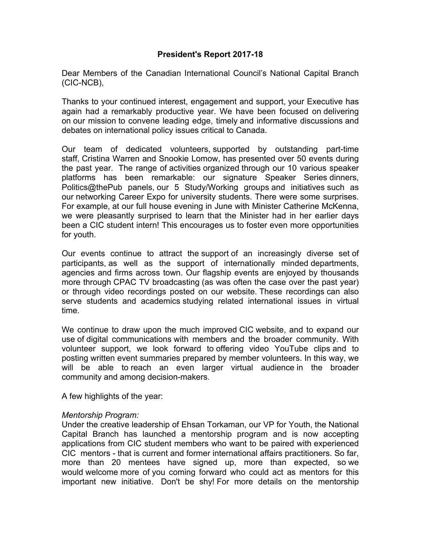# **President's Report 2017-18**

Dear Members of the Canadian International Council's National Capital Branch (CIC-NCB),

Thanks to your continued interest, engagement and support, your Executive has again had a remarkably productive year. We have been focused on delivering on our mission to convene leading edge, timely and informative discussions and debates on international policy issues critical to Canada.

Our team of dedicated volunteers, supported by outstanding part-time staff, Cristina Warren and Snookie Lomow, has presented over 50 events during the past year. The range of activities organized through our 10 various speaker platforms has been remarkable: our signature Speaker Series dinners, Politics@thePub panels, our 5 Study/Working groups and initiatives such as our networking Career Expo for university students. There were some surprises. For example, at our full house evening in June with Minister Catherine McKenna, we were pleasantly surprised to learn that the Minister had in her earlier days been a CIC student intern! This encourages us to foster even more opportunities for youth.

Our events continue to attract the support of an increasingly diverse set of participants, as well as the support of internationally minded departments, agencies and firms across town. Our flagship events are enjoyed by thousands more through CPAC TV broadcasting (as was often the case over the past year) or through video recordings posted on our website. These recordings can also serve students and academics studying related international issues in virtual time.

We continue to draw upon the much improved CIC website, and to expand our use of digital communications with members and the broader community. With volunteer support, we look forward to offering video YouTube clips and to posting written event summaries prepared by member volunteers. In this way, we will be able to reach an even larger virtual audience in the broader community and among decision-makers.

A few highlights of the year:

# *Mentorship Program:*

Under the creative leadership of Ehsan Torkaman, our VP for Youth, the National Capital Branch has launched a mentorship program and is now accepting applications from CIC student members who want to be paired with experienced CIC mentors - that is current and former international affairs practitioners. So far, more than 20 mentees have signed up, more than expected, so we would welcome more of you coming forward who could act as mentors for this important new initiative. Don't be shy! For more details on the mentorship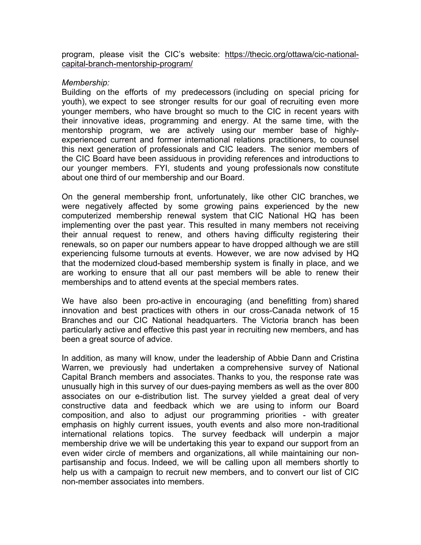program, please visit the CIC's website: https://thecic.org/ottawa/cic-nationalcapital-branch-mentorship-program/

#### *Membership:*

Building on the efforts of my predecessors (including on special pricing for youth), we expect to see stronger results for our goal of recruiting even more younger members, who have brought so much to the CIC in recent years with their innovative ideas, programming and energy. At the same time, with the mentorship program, we are actively using our member base of highlyexperienced current and former international relations practitioners, to counsel this next generation of professionals and CIC leaders. The senior members of the CIC Board have been assiduous in providing references and introductions to our younger members. FYI, students and young professionals now constitute about one third of our membership and our Board.

On the general membership front, unfortunately, like other CIC branches, we were negatively affected by some growing pains experienced by the new computerized membership renewal system that CIC National HQ has been implementing over the past year. This resulted in many members not receiving their annual request to renew, and others having difficulty registering their renewals, so on paper our numbers appear to have dropped although we are still experiencing fulsome turnouts at events. However, we are now advised by HQ that the modernized cloud-based membership system is finally in place, and we are working to ensure that all our past members will be able to renew their memberships and to attend events at the special members rates.

We have also been pro-active in encouraging (and benefitting from) shared innovation and best practices with others in our cross-Canada network of 15 Branches and our CIC National headquarters. The Victoria branch has been particularly active and effective this past year in recruiting new members, and has been a great source of advice.

In addition, as many will know, under the leadership of Abbie Dann and Cristina Warren, we previously had undertaken a comprehensive survey of National Capital Branch members and associates. Thanks to you, the response rate was unusually high in this survey of our dues-paying members as well as the over 800 associates on our e-distribution list. The survey yielded a great deal of very constructive data and feedback which we are using to inform our Board composition, and also to adjust our programming priorities - with greater emphasis on highly current issues, youth events and also more non-traditional international relations topics. The survey feedback will underpin a major membership drive we will be undertaking this year to expand our support from an even wider circle of members and organizations, all while maintaining our nonpartisanship and focus. Indeed, we will be calling upon all members shortly to help us with a campaign to recruit new members, and to convert our list of CIC non-member associates into members.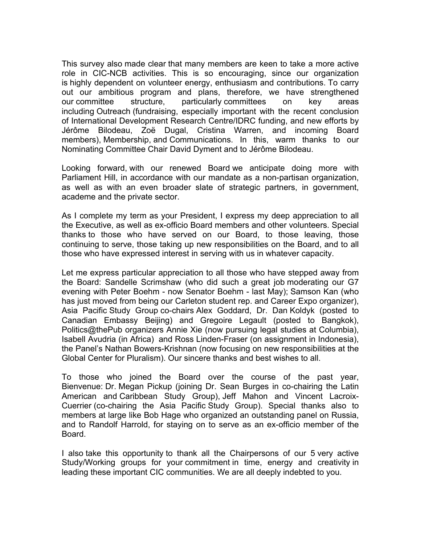This survey also made clear that many members are keen to take a more active role in CIC-NCB activities. This is so encouraging, since our organization is highly dependent on volunteer energy, enthusiasm and contributions. To carry out our ambitious program and plans, therefore, we have strengthened our committee structure, particularly committees on key areas including Outreach (fundraising, especially important with the recent conclusion of International Development Research Centre/IDRC funding, and new efforts by Jérôme Bilodeau, Zoë Dugal, Cristina Warren, and incoming Board members), Membership, and Communications. In this, warm thanks to our Nominating Committee Chair David Dyment and to Jérôme Bilodeau.

Looking forward, with our renewed Board we anticipate doing more with Parliament Hill, in accordance with our mandate as a non-partisan organization, as well as with an even broader slate of strategic partners, in government, academe and the private sector.

As I complete my term as your President, I express my deep appreciation to all the Executive, as well as ex-officio Board members and other volunteers. Special thanks to those who have served on our Board, to those leaving, those continuing to serve, those taking up new responsibilities on the Board, and to all those who have expressed interest in serving with us in whatever capacity.

Let me express particular appreciation to all those who have stepped away from the Board: Sandelle Scrimshaw (who did such a great job moderating our G7 evening with Peter Boehm - now Senator Boehm - last May); Samson Kan (who has just moved from being our Carleton student rep. and Career Expo organizer), Asia Pacific Study Group co-chairs Alex Goddard, Dr. Dan Koldyk (posted to Canadian Embassy Beijing) and Gregoire Legault (posted to Bangkok), Politics@thePub organizers Annie Xie (now pursuing legal studies at Columbia), Isabell Avudria (in Africa) and Ross Linden-Fraser (on assignment in Indonesia), the Panel's Nathan Bowers-Krishnan (now focusing on new responsibilities at the Global Center for Pluralism). Our sincere thanks and best wishes to all.

To those who joined the Board over the course of the past year, Bienvenue: Dr. Megan Pickup (joining Dr. Sean Burges in co-chairing the Latin American and Caribbean Study Group), Jeff Mahon and Vincent Lacroix-Cuerrier (co-chairing the Asia Pacific Study Group). Special thanks also to members at large like Bob Hage who organized an outstanding panel on Russia, and to Randolf Harrold, for staying on to serve as an ex-officio member of the Board.

I also take this opportunity to thank all the Chairpersons of our 5 very active Study/Working groups for your commitment in time, energy and creativity in leading these important CIC communities. We are all deeply indebted to you.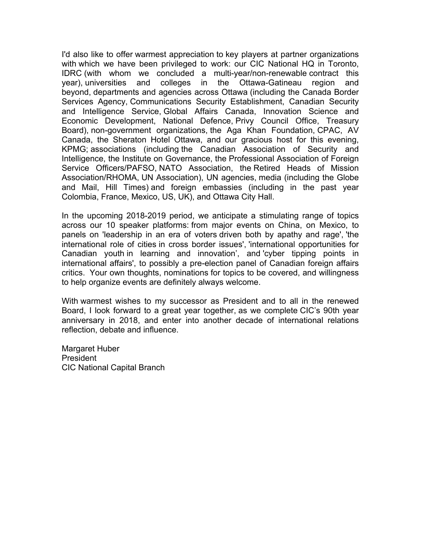I'd also like to offer warmest appreciation to key players at partner organizations with which we have been privileged to work: our CIC National HQ in Toronto, IDRC (with whom we concluded a multi-year/non-renewable contract this year), universities and colleges in the Ottawa-Gatineau region and beyond, departments and agencies across Ottawa (including the Canada Border Services Agency, Communications Security Establishment, Canadian Security and Intelligence Service, Global Affairs Canada, Innovation Science and Economic Development, National Defence, Privy Council Office, Treasury Board), non-government organizations, the Aga Khan Foundation, CPAC, AV Canada, the Sheraton Hotel Ottawa, and our gracious host for this evening, KPMG; associations (including the Canadian Association of Security and Intelligence, the Institute on Governance, the Professional Association of Foreign Service Officers/PAFSO, NATO Association, the Retired Heads of Mission Association/RHOMA, UN Association), UN agencies, media (including the Globe and Mail, Hill Times) and foreign embassies (including in the past year Colombia, France, Mexico, US, UK), and Ottawa City Hall.

In the upcoming 2018-2019 period, we anticipate a stimulating range of topics across our 10 speaker platforms: from major events on China, on Mexico, to panels on 'leadership in an era of voters driven both by apathy and rage', 'the international role of cities in cross border issues', 'international opportunities for Canadian youth in learning and innovation', and 'cyber tipping points in international affairs', to possibly a pre-election panel of Canadian foreign affairs critics. Your own thoughts, nominations for topics to be covered, and willingness to help organize events are definitely always welcome.

With warmest wishes to my successor as President and to all in the renewed Board, I look forward to a great year together, as we complete CIC's 90th year anniversary in 2018, and enter into another decade of international relations reflection, debate and influence.

Margaret Huber President CIC National Capital Branch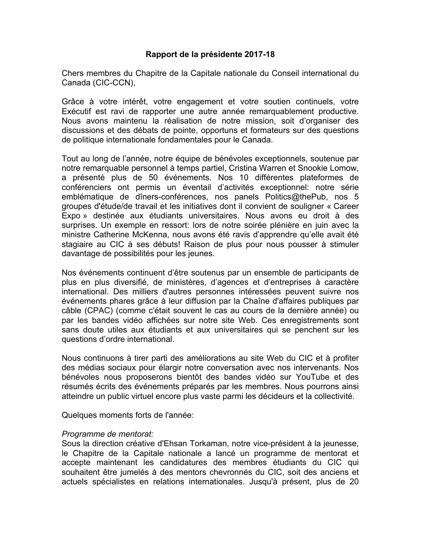# **Rapport de la présidente 2017-18**

Chers membres du Chapitre de la Capitale nationale du Conseil international du Canada (CIC-CCN),

Grâce à votre intérêt, votre engagement et votre soutien continuels, votre Exécutif est ravi de rapporter une autre année remarquablement productive. Nous avons maintenu la réalisation de notre mission, soit d'organiser des discussions et des débats de pointe, opportuns et formateurs sur des questions de politique internationale fondamentales pour le Canada.

Tout au long de l'année, notre équipe de bénévoles exceptionnels, soutenue par notre remarquable personnel à temps partiel, Cristina Warren et Snookie Lomow, a présenté plus de 50 événements. Nos 10 différentes plateformes de conférenciers ont permis un éventail d'activités exceptionnel: notre série emblématique de dîners-conférences, nos panels Politics@thePub, nos 5 groupes d'étude/de travail et les initiatives dont il convient de souligner « Career Expo » destinée aux étudiants universitaires. Nous avons eu droit à des surprises. Un exemple en ressort: lors de notre soirée plénière en juin avec la ministre Catherine McKenna, nous avons été ravis d'apprendre qu'elle avait été stagiaire au CIC à ses débuts! Raison de plus pour nous pousser à stimuler davantage de possibilités pour les jeunes.

Nos événements continuent d'être soutenus par un ensemble de participants de plus en plus diversifié, de ministères, d'agences et d'entreprises à caractère international. Des milliers d'autres personnes intéressées peuvent suivre nos événements phares grâce à leur diffusion par la Chaîne d'affaires publiques par câble (CPAC) (comme c'était souvent le cas au cours de la dernière année) ou par les bandes vidéo affichées sur notre site Web. Ces enregistrements sont sans doute utiles aux étudiants et aux universitaires qui se penchent sur les questions d'ordre international.

Nous continuons à tirer parti des améliorations au site Web du CIC et à profiter des médias sociaux pour élargir notre conversation avec nos intervenants. Nos bénévoles nous proposerons bientôt des bandes vidéo sur YouTube et des résumés écrits des événements préparés par les membres. Nous pourrons ainsi atteindre un public virtuel encore plus vaste parmi les décideurs et la collectivité.

Quelques moments forts de l'année:

# *Programme de mentorat:*

Sous la direction créative d'Ehsan Torkaman, notre vice-président à la jeunesse, le Chapitre de la Capitale nationale a lancé un programme de mentorat et accepte maintenant les candidatures des membres étudiants du CIC qui souhaitent être jumelés à des mentors chevronnés du CIC, soit des anciens et actuels spécialistes en relations internationales. Jusqu'à présent, plus de 20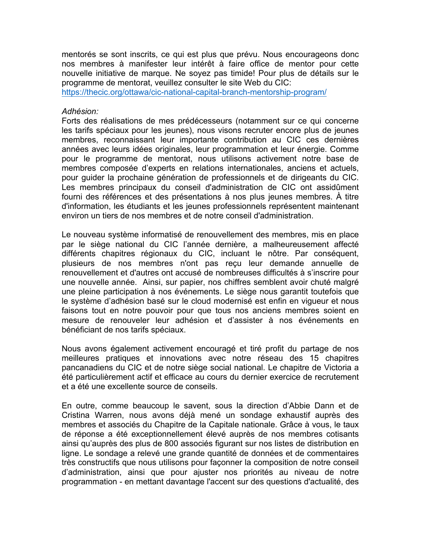mentorés se sont inscrits, ce qui est plus que prévu. Nous encourageons donc nos membres à manifester leur intérêt à faire office de mentor pour cette nouvelle initiative de marque. Ne soyez pas timide! Pour plus de détails sur le programme de mentorat, veuillez consulter le site Web du CIC:

https://thecic.org/ottawa/cic-national-capital-branch-mentorship-program/

# *Adhésion:*

Forts des réalisations de mes prédécesseurs (notamment sur ce qui concerne les tarifs spéciaux pour les jeunes), nous visons recruter encore plus de jeunes membres, reconnaissant leur importante contribution au CIC ces dernières années avec leurs idées originales, leur programmation et leur énergie. Comme pour le programme de mentorat, nous utilisons activement notre base de membres composée d'experts en relations internationales, anciens et actuels, pour guider la prochaine génération de professionnels et de dirigeants du CIC. Les membres principaux du conseil d'administration de CIC ont assidûment fourni des références et des présentations à nos plus jeunes membres. À titre d'information, les étudiants et les jeunes professionnels représentent maintenant environ un tiers de nos membres et de notre conseil d'administration.

Le nouveau système informatisé de renouvellement des membres, mis en place par le siège national du CIC l'année dernière, a malheureusement affecté différents chapitres régionaux du CIC, incluant le nôtre. Par conséquent, plusieurs de nos membres n'ont pas reçu leur demande annuelle de renouvellement et d'autres ont accusé de nombreuses difficultés à s'inscrire pour une nouvelle année. Ainsi, sur papier, nos chiffres semblent avoir chuté malgré une pleine participation à nos événements. Le siège nous garantit toutefois que le système d'adhésion basé sur le cloud modernisé est enfin en vigueur et nous faisons tout en notre pouvoir pour que tous nos anciens membres soient en mesure de renouveler leur adhésion et d'assister à nos événements en bénéficiant de nos tarifs spéciaux.

Nous avons également activement encouragé et tiré profit du partage de nos meilleures pratiques et innovations avec notre réseau des 15 chapitres pancanadiens du CIC et de notre siège social national. Le chapitre de Victoria a été particulièrement actif et efficace au cours du dernier exercice de recrutement et a été une excellente source de conseils.

En outre, comme beaucoup le savent, sous la direction d'Abbie Dann et de Cristina Warren, nous avons déjà mené un sondage exhaustif auprès des membres et associés du Chapitre de la Capitale nationale. Grâce à vous, le taux de réponse a été exceptionnellement élevé auprès de nos membres cotisants ainsi qu'auprès des plus de 800 associés figurant sur nos listes de distribution en ligne. Le sondage a relevé une grande quantité de données et de commentaires très constructifs que nous utilisons pour façonner la composition de notre conseil d'administration, ainsi que pour ajuster nos priorités au niveau de notre programmation - en mettant davantage l'accent sur des questions d'actualité, des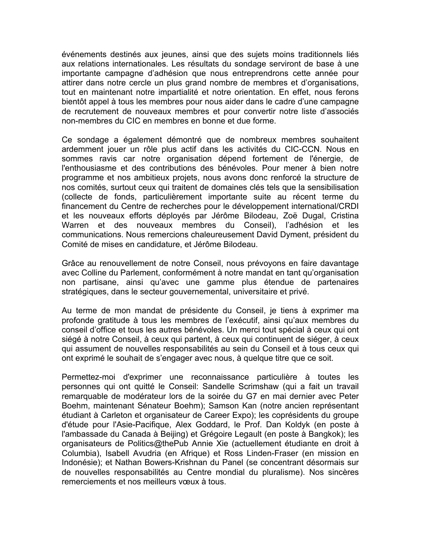événements destinés aux jeunes, ainsi que des sujets moins traditionnels liés aux relations internationales. Les résultats du sondage serviront de base à une importante campagne d'adhésion que nous entreprendrons cette année pour attirer dans notre cercle un plus grand nombre de membres et d'organisations, tout en maintenant notre impartialité et notre orientation. En effet, nous ferons bientôt appel à tous les membres pour nous aider dans le cadre d'une campagne de recrutement de nouveaux membres et pour convertir notre liste d'associés non-membres du CIC en membres en bonne et due forme.

Ce sondage a également démontré que de nombreux membres souhaitent ardemment jouer un rôle plus actif dans les activités du CIC-CCN. Nous en sommes ravis car notre organisation dépend fortement de l'énergie, de l'enthousiasme et des contributions des bénévoles. Pour mener à bien notre programme et nos ambitieux projets, nous avons donc renforcé la structure de nos comités, surtout ceux qui traitent de domaines clés tels que la sensibilisation (collecte de fonds, particulièrement importante suite au récent terme du financement du Centre de recherches pour le développement international/CRDI et les nouveaux efforts déployés par Jérôme Bilodeau, Zoë Dugal, Cristina Warren et des nouveaux membres du Conseil), l'adhésion et les communications. Nous remercions chaleureusement David Dyment, président du Comité de mises en candidature, et Jérôme Bilodeau.

Grâce au renouvellement de notre Conseil, nous prévoyons en faire davantage avec Colline du Parlement, conformément à notre mandat en tant qu'organisation non partisane, ainsi qu'avec une gamme plus étendue de partenaires stratégiques, dans le secteur gouvernemental, universitaire et privé.

Au terme de mon mandat de présidente du Conseil, je tiens à exprimer ma profonde gratitude à tous les membres de l'exécutif, ainsi qu'aux membres du conseil d'office et tous les autres bénévoles. Un merci tout spécial à ceux qui ont siégé à notre Conseil, à ceux qui partent, à ceux qui continuent de siéger, à ceux qui assument de nouvelles responsabilités au sein du Conseil et à tous ceux qui ont exprimé le souhait de s'engager avec nous, à quelque titre que ce soit.

Permettez-moi d'exprimer une reconnaissance particulière à toutes les personnes qui ont quitté le Conseil: Sandelle Scrimshaw (qui a fait un travail remarquable de modérateur lors de la soirée du G7 en mai dernier avec Peter Boehm, maintenant Sénateur Boehm); Samson Kan (notre ancien représentant étudiant à Carleton et organisateur de Career Expo); les coprésidents du groupe d'étude pour l'Asie-Pacifique, Alex Goddard, le Prof. Dan Koldyk (en poste à l'ambassade du Canada à Beijing) et Grégoire Legault (en poste à Bangkok); les organisateurs de Politics@thePub Annie Xie (actuellement étudiante en droit à Columbia), Isabell Avudria (en Afrique) et Ross Linden-Fraser (en mission en Indonésie); et Nathan Bowers-Krishnan du Panel (se concentrant désormais sur de nouvelles responsabilités au Centre mondial du pluralisme). Nos sincères remerciements et nos meilleurs vœux à tous.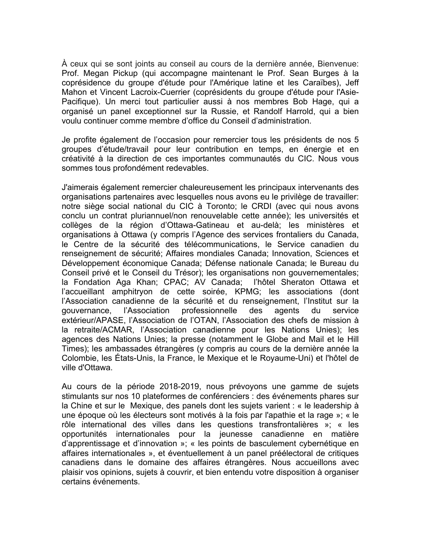À ceux qui se sont joints au conseil au cours de la dernière année, Bienvenue: Prof. Megan Pickup (qui accompagne maintenant le Prof. Sean Burges à la coprésidence du groupe d'étude pour l'Amérique latine et les Caraïbes), Jeff Mahon et Vincent Lacroix-Cuerrier (coprésidents du groupe d'étude pour l'Asie-Pacifique). Un merci tout particulier aussi à nos membres Bob Hage, qui a organisé un panel exceptionnel sur la Russie, et Randolf Harrold, qui a bien voulu continuer comme membre d'office du Conseil d'administration.

Je profite également de l'occasion pour remercier tous les présidents de nos 5 groupes d'étude/travail pour leur contribution en temps, en énergie et en créativité à la direction de ces importantes communautés du CIC. Nous vous sommes tous profondément redevables.

J'aimerais également remercier chaleureusement les principaux intervenants des organisations partenaires avec lesquelles nous avons eu le privilège de travailler: notre siège social national du CIC à Toronto; le CRDI (avec qui nous avons conclu un contrat pluriannuel/non renouvelable cette année); les universités et collèges de la région d'Ottawa-Gatineau et au-delà; les ministères et organisations à Ottawa (y compris l'Agence des services frontaliers du Canada, le Centre de la sécurité des télécommunications, le Service canadien du renseignement de sécurité; Affaires mondiales Canada; Innovation, Sciences et Développement économique Canada; Défense nationale Canada; le Bureau du Conseil privé et le Conseil du Trésor); les organisations non gouvernementales; la Fondation Aga Khan; CPAC; AV Canada; l'hôtel Sheraton Ottawa et l'accueillant amphitryon de cette soirée, KPMG; les associations (dont l'Association canadienne de la sécurité et du renseignement, l'Institut sur la gouvernance, l'Association professionnelle des agents du service extérieur/APASE, l'Association de l'OTAN, l'Association des chefs de mission à la retraite/ACMAR, l'Association canadienne pour les Nations Unies); les agences des Nations Unies; la presse (notamment le Globe and Mail et le Hill Times); les ambassades étrangères (y compris au cours de la dernière année la Colombie, les États-Unis, la France, le Mexique et le Royaume-Uni) et l'hôtel de ville d'Ottawa.

Au cours de la période 2018-2019, nous prévoyons une gamme de sujets stimulants sur nos 10 plateformes de conférenciers : des événements phares sur la Chine et sur le Mexique, des panels dont les sujets varient : « le leadership à une époque où les électeurs sont motivés à la fois par l'apathie et la rage »; « le rôle international des villes dans les questions transfrontalières »; « les opportunités internationales pour la jeunesse canadienne en matière d'apprentissage et d'innovation »; « les points de basculement cybernétique en affaires internationales », et éventuellement à un panel préélectoral de critiques canadiens dans le domaine des affaires étrangères. Nous accueillons avec plaisir vos opinions, sujets à couvrir, et bien entendu votre disposition à organiser certains événements.